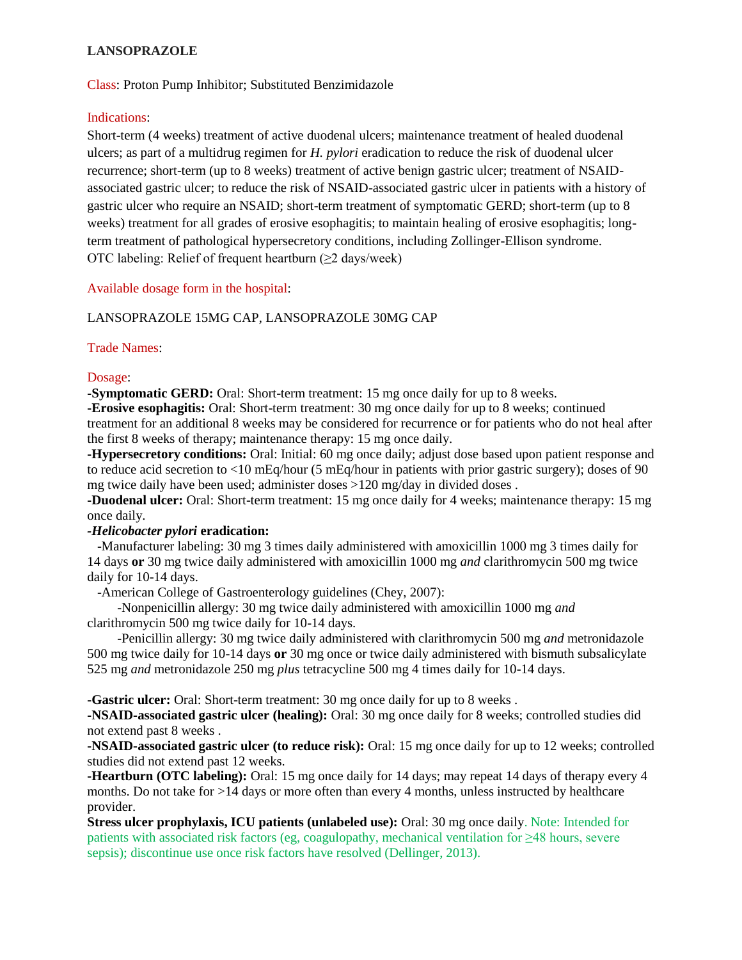### **LANSOPRAZOLE**

Class: Proton Pump Inhibitor; Substituted Benzimidazole

#### Indications:

Short-term (4 weeks) treatment of active duodenal ulcers; maintenance treatment of healed duodenal ulcers; as part of a multidrug regimen for *H. pylori* eradication to reduce the risk of duodenal ulcer recurrence; short-term (up to 8 weeks) treatment of active benign gastric ulcer; treatment of NSAIDassociated gastric ulcer; to reduce the risk of NSAID-associated gastric ulcer in patients with a history of gastric ulcer who require an NSAID; short-term treatment of symptomatic GERD; short-term (up to 8 weeks) treatment for all grades of erosive esophagitis; to maintain healing of erosive esophagitis; longterm treatment of pathological hypersecretory conditions, including Zollinger-Ellison syndrome. OTC labeling: Relief of frequent heartburn (≥2 days/week)

Available dosage form in the hospital:

#### LANSOPRAZOLE 15MG CAP, LANSOPRAZOLE 30MG CAP

#### Trade Names:

#### Dosage:

**-Symptomatic GERD:** Oral: Short-term treatment: 15 mg once daily for up to 8 weeks.

**-Erosive esophagitis:** Oral: Short-term treatment: 30 mg once daily for up to 8 weeks; continued treatment for an additional 8 weeks may be considered for recurrence or for patients who do not heal after the first 8 weeks of therapy; maintenance therapy: 15 mg once daily.

**-Hypersecretory conditions:** Oral: Initial: 60 mg once daily; adjust dose based upon patient response and to reduce acid secretion to <10 mEq/hour (5 mEq/hour in patients with prior gastric surgery); doses of 90 mg twice daily have been used; administer doses >120 mg/day in divided doses .

**-Duodenal ulcer:** Oral: Short-term treatment: 15 mg once daily for 4 weeks; maintenance therapy: 15 mg once daily.

#### *-Helicobacter pylori* **eradication:**

 -Manufacturer labeling: 30 mg 3 times daily administered with amoxicillin 1000 mg 3 times daily for 14 days **or** 30 mg twice daily administered with amoxicillin 1000 mg *and* clarithromycin 500 mg twice daily for 10-14 days.

-American College of Gastroenterology guidelines (Chey, 2007):

 -Nonpenicillin allergy: 30 mg twice daily administered with amoxicillin 1000 mg *and* clarithromycin 500 mg twice daily for 10-14 days.

 -Penicillin allergy: 30 mg twice daily administered with clarithromycin 500 mg *and* metronidazole 500 mg twice daily for 10-14 days **or** 30 mg once or twice daily administered with bismuth subsalicylate 525 mg *and* metronidazole 250 mg *plus* tetracycline 500 mg 4 times daily for 10-14 days.

**-Gastric ulcer:** Oral: Short-term treatment: 30 mg once daily for up to 8 weeks .

**-NSAID-associated gastric ulcer (healing):** Oral: 30 mg once daily for 8 weeks; controlled studies did not extend past 8 weeks .

**-NSAID-associated gastric ulcer (to reduce risk):** Oral: 15 mg once daily for up to 12 weeks; controlled studies did not extend past 12 weeks.

**-Heartburn (OTC labeling):** Oral: 15 mg once daily for 14 days; may repeat 14 days of therapy every 4 months. Do not take for >14 days or more often than every 4 months, unless instructed by healthcare provider.

**Stress ulcer prophylaxis, ICU patients (unlabeled use):** Oral: 30 mg once daily. Note: Intended for patients with associated risk factors (eg, coagulopathy, mechanical ventilation for ≥48 hours, severe sepsis); discontinue use once risk factors have resolved (Dellinger, 2013).